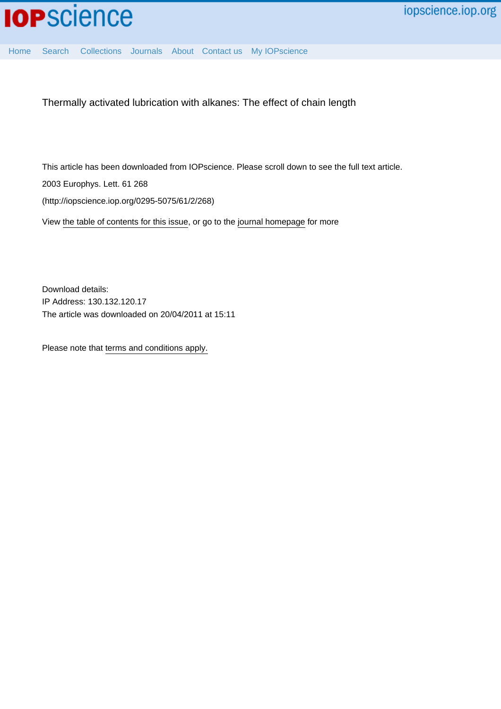

[Home](http://iopscience.iop.org/) [Search](http://iopscience.iop.org/search) [Collections](http://iopscience.iop.org/collections) [Journals](http://iopscience.iop.org/journals) [About](http://iopscience.iop.org/page/aboutioppublishing) [Contact us](http://iopscience.iop.org/contact) [My IOPscience](http://iopscience.iop.org/myiopscience)

Thermally activated lubrication with alkanes: The effect of chain length

This article has been downloaded from IOPscience. Please scroll down to see the full text article. 2003 Europhys. Lett. 61 268 (http://iopscience.iop.org/0295-5075/61/2/268)

View [the table of contents for this issue](http://iopscience.iop.org/0295-5075/61/2), or go to the [journal homepage](http://iopscience.iop.org/0295-5075) for more

Download details: IP Address: 130.132.120.17 The article was downloaded on 20/04/2011 at 15:11

Please note that [terms and conditions apply.](http://iopscience.iop.org/page/terms)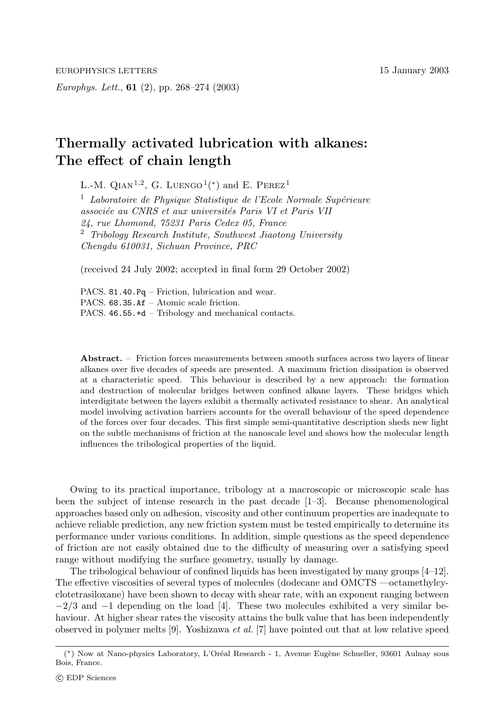*Europhys. Lett.*, **61** (2), pp. 268–274 (2003)

## **Thermally activated lubrication with alkanes: The effect of chain length**

L.-M. QIAN<sup>1,2</sup>, G. LUENGO<sup>1</sup>(<sup>\*</sup>) and E. PEREZ<sup>1</sup>

<sup>1</sup> Laboratoire de Physique Statistique de l'Ecole Normale Supérieure *associ´ee au CNRS et aux universit´es Paris VIet Paris VII 24, rue Lhomond, 75231 Paris Cedex 05, France* <sup>2</sup> *Tribology Research Institute, Southwest Jiaotong University Chengdu 610031, Sichuan Province, PRC*

(received 24 July 2002; accepted in final form 29 October 2002)

PACS. 81.40.Pq – Friction, lubrication and wear. PACS. 68.35.Af – Atomic scale friction. PACS. 46.55.+d – Tribology and mechanical contacts.

**Abstract.** – Friction forces measurements between smooth surfaces across two layers of linear alkanes over five decades of speeds are presented. A maximum friction dissipation is observed at a characteristic speed. This behaviour is described by a new approach: the formation and destruction of molecular bridges between confined alkane layers. These bridges which interdigitate between the layers exhibit a thermally activated resistance to shear. An analytical model involving activation barriers accounts for the overall behaviour of the speed dependence of the forces over four decades. This first simple semi-quantitative description sheds new light on the subtle mechanisms of friction at the nanoscale level and shows how the molecular length influences the tribological properties of the liquid.

Owing to its practical importance, tribology at a macroscopic or microscopic scale has been the subject of intense research in the past decade [1–3]. Because phenomenological approaches based only on adhesion, viscosity and other continuum properties are inadequate to achieve reliable prediction, any new friction system must be tested empirically to determine its performance under various conditions. In addition, simple questions as the speed dependence of friction are not easily obtained due to the difficulty of measuring over a satisfying speed range without modifying the surface geometry, usually by damage.

The tribological behaviour of confined liquids has been investigated by many groups [4–12]. The effective viscosities of several types of molecules (dodecane and OMCTS —octamethylcyclotetrasiloxane) have been shown to decay with shear rate, with an exponent ranging between  $-2/3$  and  $-1$  depending on the load [4]. These two molecules exhibited a very similar behaviour. At higher shear rates the viscosity attains the bulk value that has been independently observed in polymer melts [9]. Yoshizawa *et al.* [7] have pointed out that at low relative speed

<sup>(\*)</sup> Now at Nano-physics Laboratory, L'Oréal Research - 1, Avenue Eugène Schueller, 93601 Aulnay sous Bois, France. Bois, France.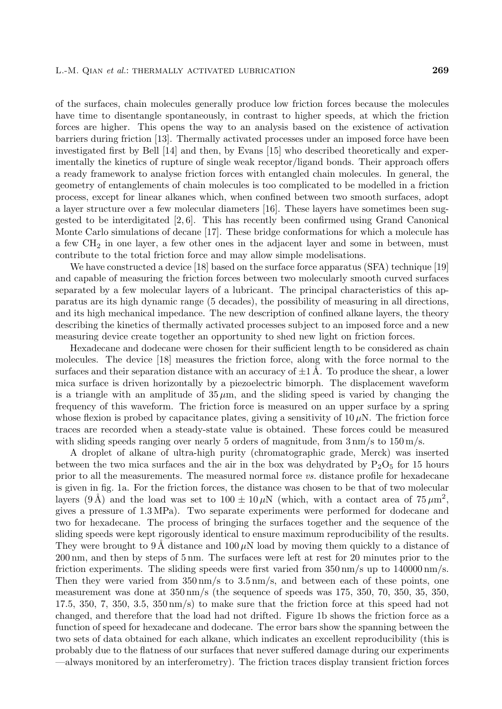of the surfaces, chain molecules generally produce low friction forces because the molecules have time to disentangle spontaneously, in contrast to higher speeds, at which the friction forces are higher. This opens the way to an analysis based on the existence of activation barriers during friction [13]. Thermally activated processes under an imposed force have been investigated first by Bell [14] and then, by Evans [15] who described theoretically and experimentally the kinetics of rupture of single weak receptor/ligand bonds. Their approach offers a ready framework to analyse friction forces with entangled chain molecules. In general, the geometry of entanglements of chain molecules is too complicated to be modelled in a friction process, except for linear alkanes which, when confined between two smooth surfaces, adopt a layer structure over a few molecular diameters [16]. These layers have sometimes been suggested to be interdigitated [2, 6]. This has recently been confirmed using Grand Canonical Monte Carlo simulations of decane [17]. These bridge conformations for which a molecule has a few CH<sup>2</sup> in one layer, a few other ones in the adjacent layer and some in between, must contribute to the total friction force and may allow simple modelisations.

We have constructed a device [18] based on the surface force apparatus (SFA) technique [19] and capable of measuring the friction forces between two molecularly smooth curved surfaces separated by a few molecular layers of a lubricant. The principal characteristics of this apparatus are its high dynamic range (5 decades), the possibility of measuring in all directions, and its high mechanical impedance. The new description of confined alkane layers, the theory describing the kinetics of thermally activated processes subject to an imposed force and a new measuring device create together an opportunity to shed new light on friction forces.

Hexadecane and dodecane were chosen for their sufficient length to be considered as chain molecules. The device [18] measures the friction force, along with the force normal to the surfaces and their separation distance with an accuracy of  $\pm 1$  Å. To produce the shear, a lower mica surface is driven horizontally by a piezoelectric bimorph. The displacement waveform is a triangle with an amplitude of  $35 \mu$ m, and the sliding speed is varied by changing the frequency of this waveform. The friction force is measured on an upper surface by a spring whose flexion is probed by capacitance plates, giving a sensitivity of  $10 \mu$ N. The friction force traces are recorded when a steady-state value is obtained. These forces could be measured with sliding speeds ranging over nearly 5 orders of magnitude, from  $3 \text{ nm/s}$  to  $150 \text{ m/s}$ .

A droplet of alkane of ultra-high purity (chromatographic grade, Merck) was inserted between the two mica surfaces and the air in the box was dehydrated by  $P_2O_5$  for 15 hours prior to all the measurements. The measured normal force *vs.* distance profile for hexadecane is given in fig. 1a. For the friction forces, the distance was chosen to be that of two molecular layers (9 Å) and the load was set to  $100 \pm 10 \mu N$  (which, with a contact area of  $75 \mu m^2$ , gives a pressure of 1.3 MPa). Two separate experiments were performed for dodecane and two for hexadecane. The process of bringing the surfaces together and the sequence of the sliding speeds were kept rigorously identical to ensure maximum reproducibility of the results. They were brought to 9 Å distance and  $100 \mu N$  load by moving them quickly to a distance of 200 nm, and then by steps of 5 nm. The surfaces were left at rest for 20 minutes prior to the friction experiments. The sliding speeds were first varied from  $350 \,\mathrm{nm/s}$  up to  $140000 \,\mathrm{nm/s}$ . Then they were varied from  $350 \,\mathrm{nm/s}$  to  $3.5 \,\mathrm{nm/s}$ , and between each of these points, one measurement was done at 350 nm/s (the sequence of speeds was 175, 350, 70, 350, 35, 350, 17.5, 350, 7, 350, 3.5, 350 nm/s) to make sure that the friction force at this speed had not changed, and therefore that the load had not drifted. Figure 1b shows the friction force as a function of speed for hexadecane and dodecane. The error bars show the spanning between the two sets of data obtained for each alkane, which indicates an excellent reproducibility (this is probably due to the flatness of our surfaces that never suffered damage during our experiments —always monitored by an interferometry). The friction traces display transient friction forces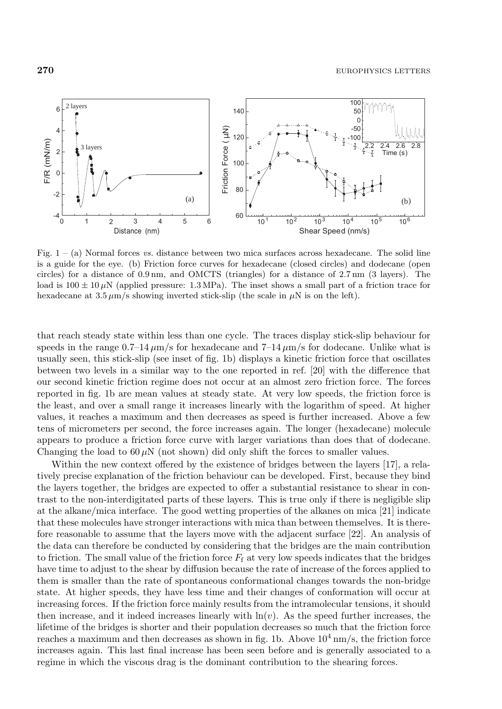

Fig.  $1 - (a)$  Normal forces vs. distance between two mica surfaces across hexadecane. The solid line is a guide for the eye. (b) Friction force curves for hexadecane (closed circles) and dodecane (open circles) for a distance of 0.9 nm, and OMCTS (triangles) for a distance of 2.7 nm (3 layers). The load is  $100 \pm 10 \mu$ N (applied pressure: 1.3 MPa). The inset shows a small part of a friction trace for hexadecane at  $3.5 \mu$ m/s showing inverted stick-slip (the scale in  $\mu$ N is on the left).

that reach steady state within less than one cycle. The traces display stick-slip behaviour for speeds in the range  $0.7-14 \mu m/s$  for hexadecane and  $7-14 \mu m/s$  for dodecane. Unlike what is usually seen, this stick-slip (see inset of fig. 1b) displays a kinetic friction force that oscillates between two levels in a similar way to the one reported in ref. [20] with the difference that our second kinetic friction regime does not occur at an almost zero friction force. The forces reported in fig. 1b are mean values at steady state. At very low speeds, the friction force is the least, and over a small range it increases linearly with the logarithm of speed. At higher values, it reaches a maximum and then decreases as speed is further increased. Above a few tens of micrometers per second, the force increases again. The longer (hexadecane) molecule appears to produce a friction force curve with larger variations than does that of dodecane. Changing the load to  $60 \mu$ N (not shown) did only shift the forces to smaller values.

Within the new context offered by the existence of bridges between the layers [17], a relatively precise explanation of the friction behaviour can be developed. First, because they bind the layers together, the bridges are expected to offer a substantial resistance to shear in contrast to the non-interdigitated parts of these layers. This is true only if there is negligible slip at the alkane/mica interface. The good wetting properties of the alkanes on mica [21] indicate that these molecules have stronger interactions with mica than between themselves. It is therefore reasonable to assume that the layers move with the adjacent surface [22]. An analysis of the data can therefore be conducted by considering that the bridges are the main contribution to friction. The small value of the friction force  $F_f$  at very low speeds indicates that the bridges have time to adjust to the shear by diffusion because the rate of increase of the forces applied to them is smaller than the rate of spontaneous conformational changes towards the non-bridge state. At higher speeds, they have less time and their changes of conformation will occur at increasing forces. If the friction force mainly results from the intramolecular tensions, it should then increase, and it indeed increases linearly with  $\ln(v)$ . As the speed further increases, the lifetime of the bridges is shorter and their population decreases so much that the friction force reaches a maximum and then decreases as shown in fig. 1b. Above  $10^4 \text{ nm/s}$ , the friction force increases again. This last final increase has been seen before and is generally associated to a regime in which the viscous drag is the dominant contribution to the shearing forces.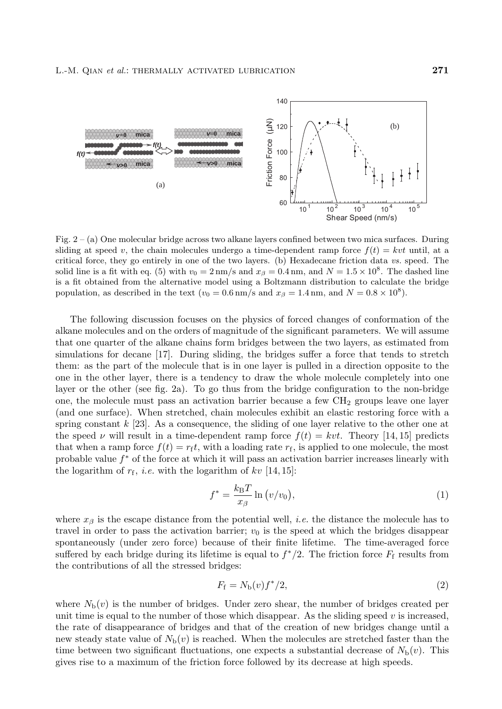

Fig. 2 – (a) One molecular bridge across two alkane layers confined between two mica surfaces. During sliding at speed v, the chain molecules undergo a time-dependent ramp force  $f(t) = kvt$  until, at a critical force, they go entirely in one of the two layers. (b) Hexadecane friction data vs. speed. The solid line is a fit with eq. (5) with  $v_0 = 2 \text{ nm/s}$  and  $x_\beta = 0.4 \text{ nm}$ , and  $N = 1.5 \times 10^8$ . The dashed line is a fit obtained from the alternative model using a Boltzmann distribution to calculate the bridge population, as described in the text ( $v_0 = 0.6$  nm/s and  $x_\beta = 1.4$  nm, and  $N = 0.8 \times 10^8$ ).

The following discussion focuses on the physics of forced changes of conformation of the alkane molecules and on the orders of magnitude of the significant parameters. We will assume that one quarter of the alkane chains form bridges between the two layers, as estimated from simulations for decane [17]. During sliding, the bridges suffer a force that tends to stretch them: as the part of the molecule that is in one layer is pulled in a direction opposite to the one in the other layer, there is a tendency to draw the whole molecule completely into one layer or the other (see fig. 2a). To go thus from the bridge configuration to the non-bridge one, the molecule must pass an activation barrier because a few  $CH<sub>2</sub>$  groups leave one layer (and one surface). When stretched, chain molecules exhibit an elastic restoring force with a spring constant  $k$  [23]. As a consequence, the sliding of one layer relative to the other one at the speed  $\nu$  will result in a time-dependent ramp force  $f(t) = kvt$ . Theory [14, 15] predicts that when a ramp force  $f(t) = r<sub>f</sub>t$ , with a loading rate  $r<sub>f</sub>$ , is applied to one molecule, the most probable value  $f^*$  of the force at which it will pass an activation barrier increases linearly with the logarithm of  $r_f$ , *i.e.* with the logarithm of kv [14, 15]:

$$
f^* = \frac{k_{\rm B}T}{x_{\beta}} \ln \left( v/v_0 \right),\tag{1}
$$

where  $x_\beta$  is the escape distance from the potential well, *i.e.* the distance the molecule has to travel in order to pass the activation barrier;  $v_0$  is the speed at which the bridges disappear spontaneously (under zero force) because of their finite lifetime. The time-averaged force suffered by each bridge during its lifetime is equal to  $f^*/2$ . The friction force  $F_f$  results from the contributions of all the stressed bridges:

$$
F_{\rm f} = N_{\rm b}(v) f^*/2,\tag{2}
$$

where  $N_b(v)$  is the number of bridges. Under zero shear, the number of bridges created per unit time is equal to the number of those which disappear. As the sliding speed  $v$  is increased, the rate of disappearance of bridges and that of the creation of new bridges change until a new steady state value of  $N_b(v)$  is reached. When the molecules are stretched faster than the time between two significant fluctuations, one expects a substantial decrease of  $N_b(v)$ . This gives rise to a maximum of the friction force followed by its decrease at high speeds.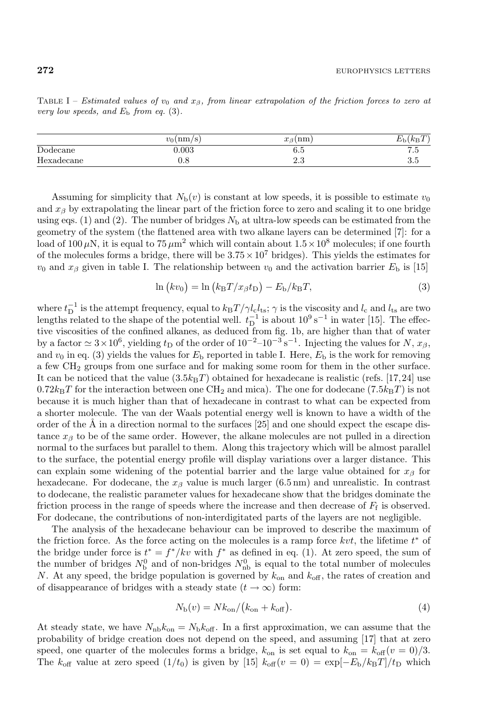TABLE I – Estimated values of  $v_0$  and  $x_\beta$ , from linear extrapolation of the friction forces to zero at

|            | $v_0 \, \mathrm{(nm/s)}$ | 'nm<br>$r_{\alpha}$<br>↓J | $\lambda$<br>$\overline{ }$<br>$\sqrt{ }$<br>$K_{\rm BL}$ |
|------------|--------------------------|---------------------------|-----------------------------------------------------------|
| Dodecane   | 0.003                    | 6.5                       | J                                                         |
| Hexadecane | U.O                      | ∠.。                       | ാ.∂                                                       |

Assuming for simplicity that  $N_b(v)$  is constant at low speeds, it is possible to estimate  $v_0$ and  $x_{\beta}$  by extrapolating the linear part of the friction force to zero and scaling it to one bridge using eqs. (1) and (2). The number of bridges  $N<sub>b</sub>$  at ultra-low speeds can be estimated from the geometry of the system (the flattened area with two alkane layers can be determined [7]: for a load of 100  $\mu$ N, it is equal to 75  $\mu$ m<sup>2</sup> which will contain about  $1.5 \times 10^8$  molecules; if one fourth of the molecules forms a bridge, there will be  $3.75 \times 10^7$  bridges). This yields the estimates for  $v_0$  and  $x_\beta$  given in table I. The relationship between  $v_0$  and the activation barrier  $E_b$  is [15]

$$
\ln (kv_0) = \ln (k_{\rm B}T/x_{\beta}t_{\rm D}) - E_{\rm b}/k_{\rm B}T, \tag{3}
$$

where  $t_{\rm D}^{-1}$  is the attempt frequency, equal to  $k_{\rm B}T/\gamma l_{\rm c}l_{\rm ts}$ ;  $\gamma$  is the viscosity and  $l_{\rm c}$  and  $l_{\rm ts}$  are two lengths related to the shape of the potential well.  $t_D^{-1}$  is about  $10^9 \text{ s}^{-1}$  in water [15]. The effective viscosities of the confined alkanes, as deduced from fig. 1b, are higher than that of water by a factor  $\simeq 3\times 10^6$ , yielding t<sub>D</sub> of the order of  $10^{-2}-10^{-3}$  s<sup>-1</sup>. Injecting the values for N,  $x_\beta$ , and  $v_0$  in eq. (3) yields the values for  $E<sub>b</sub>$  reported in table I. Here,  $E<sub>b</sub>$  is the work for removing a few CH<sup>2</sup> groups from one surface and for making some room for them in the other surface. It can be noticed that the value  $(3.5k_BT)$  obtained for hexadecane is realistic (refs. [17,24] use  $0.72k_BT$  for the interaction between one CH<sub>2</sub> and mica). The one for dodecane (7.5k<sub>B</sub>T) is not because it is much higher than that of hexadecane in contrast to what can be expected from a shorter molecule. The van der Waals potential energy well is known to have a width of the order of the  $\AA$  in a direction normal to the surfaces [25] and one should expect the escape distance  $x<sub>\beta</sub>$  to be of the same order. However, the alkane molecules are not pulled in a direction normal to the surfaces but parallel to them. Along this trajectory which will be almost parallel to the surface, the potential energy profile will display variations over a larger distance. This can explain some widening of the potential barrier and the large value obtained for  $x_\beta$  for hexadecane. For dodecane, the  $x_\beta$  value is much larger (6.5 nm) and unrealistic. In contrast to dodecane, the realistic parameter values for hexadecane show that the bridges dominate the friction process in the range of speeds where the increase and then decrease of  $F_f$  is observed. For dodecane, the contributions of non-interdigitated parts of the layers are not negligible.

The analysis of the hexadecane behaviour can be improved to describe the maximum of the friction force. As the force acting on the molecules is a ramp force  $kvt$ , the lifetime  $t^*$  of the bridge under force is  $t^* = f^*/kv$  with  $f^*$  as defined in eq. (1). At zero speed, the sum of the number of bridges  $N_{\rm b}^0$  and of non-bridges  $N_{\rm nb}^0$  is equal to the total number of molecules N. At any speed, the bridge population is governed by  $k_{\text{on}}$  and  $k_{\text{off}}$ , the rates of creation and of disappearance of bridges with a steady state  $(t \to \infty)$  form:

$$
N_{\rm b}(v) = Nk_{\rm on}/(k_{\rm on} + k_{\rm off}).\tag{4}
$$

At steady state, we have  $N_{\text{nb}}k_{\text{on}} = N_{\text{b}}k_{\text{off}}$ . In a first approximation, we can assume that the probability of bridge creation does not depend on the speed, and assuming [17] that at zero speed, one quarter of the molecules forms a bridge,  $k_{\text{on}}$  is set equal to  $k_{\text{on}} = k_{\text{off}}(v = 0)/3$ . The  $k_{\text{off}}$  value at zero speed  $(1/t_0)$  is given by [15]  $k_{\text{off}}(v=0) = \exp[-E_b/k_BT]/t_D$  which

very low speeds, and  $E<sub>b</sub>$  from eq. (3).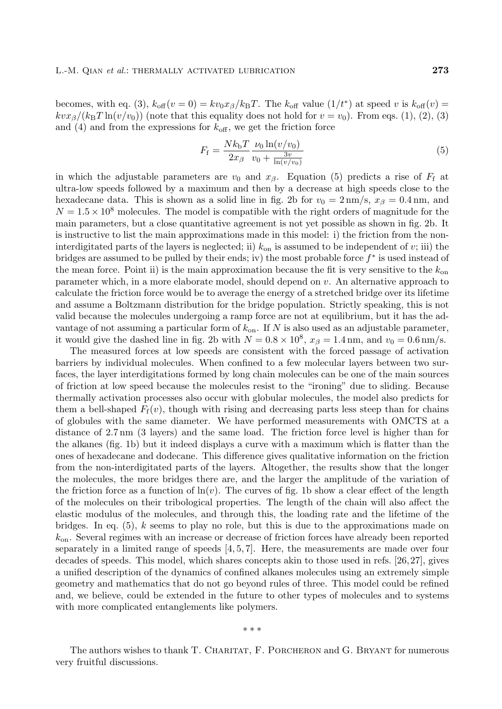becomes, with eq. (3),  $k_{\text{off}}(v=0) = kv_0x_\beta/k_BT$ . The  $k_{\text{off}}$  value  $(1/t^*)$  at speed v is  $k_{\text{off}}(v)$  $kvx\beta/(k_BT\ln(v/v_0))$  (note that this equality does not hold for  $v = v_0$ ). From eqs. (1), (2), (3) and (4) and from the expressions for  $k_{\text{off}}$ , we get the friction force

$$
F_{\rm f} = \frac{Nk_{\rm b}T}{2x_{\beta}} \frac{\nu_0 \ln(v/v_0)}{v_0 + \frac{3v}{\ln(v/v_0)}}
$$
(5)

in which the adjustable parameters are  $v_0$  and  $x_\beta$ . Equation (5) predicts a rise of  $F_f$  at ultra-low speeds followed by a maximum and then by a decrease at high speeds close to the hexadecane data. This is shown as a solid line in fig. 2b for  $v_0 = 2 \text{ nm/s}$ ,  $x_\beta = 0.4 \text{ nm}$ , and  $N = 1.5 \times 10^8$  molecules. The model is compatible with the right orders of magnitude for the main parameters, but a close quantitative agreement is not yet possible as shown in fig. 2b. It is instructive to list the main approximations made in this model: i) the friction from the noninterdigitated parts of the layers is neglected; ii)  $k_{on}$  is assumed to be independent of v; iii) the bridges are assumed to be pulled by their ends; iv) the most probable force  $f^*$  is used instead of the mean force. Point ii) is the main approximation because the fit is very sensitive to the  $k_{on}$ parameter which, in a more elaborate model, should depend on v. An alternative approach to calculate the friction force would be to average the energy of a stretched bridge over its lifetime and assume a Boltzmann distribution for the bridge population. Strictly speaking, this is not valid because the molecules undergoing a ramp force are not at equilibrium, but it has the advantage of not assuming a particular form of  $k_{\text{on}}$ . If N is also used as an adjustable parameter, it would give the dashed line in fig. 2b with  $N = 0.8 \times 10^8$ ,  $x_\beta = 1.4$  nm, and  $v_0 = 0.6$  nm/s.

The measured forces at low speeds are consistent with the forced passage of activation barriers by individual molecules. When confined to a few molecular layers between two surfaces, the layer interdigitations formed by long chain molecules can be one of the main sources of friction at low speed because the molecules resist to the "ironing" due to sliding. Because thermally activation processes also occur with globular molecules, the model also predicts for them a bell-shaped  $F_f(v)$ , though with rising and decreasing parts less steep than for chains of globules with the same diameter. We have performed measurements with OMCTS at a distance of 2.7 nm (3 layers) and the same load. The friction force level is higher than for the alkanes (fig. 1b) but it indeed displays a curve with a maximum which is flatter than the ones of hexadecane and dodecane. This difference gives qualitative information on the friction from the non-interdigitated parts of the layers. Altogether, the results show that the longer the molecules, the more bridges there are, and the larger the amplitude of the variation of the friction force as a function of  $\ln(v)$ . The curves of fig. 1b show a clear effect of the length of the molecules on their tribological properties. The length of the chain will also affect the elastic modulus of the molecules, and through this, the loading rate and the lifetime of the bridges. In eq.  $(5)$ , k seems to play no role, but this is due to the approximations made on  $k_{\text{on}}$ . Several regimes with an increase or decrease of friction forces have already been reported separately in a limited range of speeds  $[4, 5, 7]$ . Here, the measurements are made over four decades of speeds. This model, which shares concepts akin to those used in refs. [26,27], gives a unified description of the dynamics of confined alkanes molecules using an extremely simple geometry and mathematics that do not go beyond rules of three. This model could be refined and, we believe, could be extended in the future to other types of molecules and to systems with more complicated entanglements like polymers.

The authors wishes to thank T. CHARITAT, F. PORCHERON and G. BRYANT for numerous very fruitful discussions.